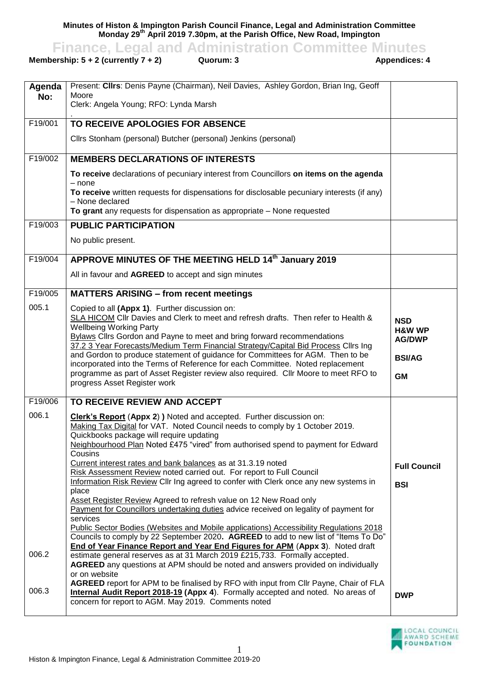**Minutes of Histon & Impington Parish Council Finance, Legal and Administration Committee Monday 29th April 2019 7.30pm, at the Parish Office, New Road, Impington**

**Finance, Legal and Administration Committee Minutes**<br>ership: 5 + 2 (currently 7 + 2) Quorum: 3<br>Appendices: 4

**Membership:**  $5 + 2$  **(currently**  $7 + 2$ **)** 

| Agenda  | Present: Clirs: Denis Payne (Chairman), Neil Davies, Ashley Gordon, Brian Ing, Geoff                                                                                                                                                                                                                                                                                                                                                                                                                                                                                                                                                      |                                                                                |
|---------|-------------------------------------------------------------------------------------------------------------------------------------------------------------------------------------------------------------------------------------------------------------------------------------------------------------------------------------------------------------------------------------------------------------------------------------------------------------------------------------------------------------------------------------------------------------------------------------------------------------------------------------------|--------------------------------------------------------------------------------|
| No:     | Moore<br>Clerk: Angela Young; RFO: Lynda Marsh                                                                                                                                                                                                                                                                                                                                                                                                                                                                                                                                                                                            |                                                                                |
|         |                                                                                                                                                                                                                                                                                                                                                                                                                                                                                                                                                                                                                                           |                                                                                |
| F19/001 | TO RECEIVE APOLOGIES FOR ABSENCE                                                                                                                                                                                                                                                                                                                                                                                                                                                                                                                                                                                                          |                                                                                |
|         | Cllrs Stonham (personal) Butcher (personal) Jenkins (personal)                                                                                                                                                                                                                                                                                                                                                                                                                                                                                                                                                                            |                                                                                |
| F19/002 | <b>MEMBERS DECLARATIONS OF INTERESTS</b>                                                                                                                                                                                                                                                                                                                                                                                                                                                                                                                                                                                                  |                                                                                |
|         | To receive declarations of pecuniary interest from Councillors on items on the agenda                                                                                                                                                                                                                                                                                                                                                                                                                                                                                                                                                     |                                                                                |
|         | $-$ none<br>To receive written requests for dispensations for disclosable pecuniary interests (if any)<br>- None declared                                                                                                                                                                                                                                                                                                                                                                                                                                                                                                                 |                                                                                |
|         | To grant any requests for dispensation as appropriate - None requested                                                                                                                                                                                                                                                                                                                                                                                                                                                                                                                                                                    |                                                                                |
| F19/003 | <b>PUBLIC PARTICIPATION</b>                                                                                                                                                                                                                                                                                                                                                                                                                                                                                                                                                                                                               |                                                                                |
|         | No public present.                                                                                                                                                                                                                                                                                                                                                                                                                                                                                                                                                                                                                        |                                                                                |
| F19/004 | APPROVE MINUTES OF THE MEETING HELD 14th January 2019                                                                                                                                                                                                                                                                                                                                                                                                                                                                                                                                                                                     |                                                                                |
|         | All in favour and AGREED to accept and sign minutes                                                                                                                                                                                                                                                                                                                                                                                                                                                                                                                                                                                       |                                                                                |
| F19/005 | <b>MATTERS ARISING - from recent meetings</b>                                                                                                                                                                                                                                                                                                                                                                                                                                                                                                                                                                                             |                                                                                |
| 005.1   | Copied to all (Appx 1). Further discussion on:<br>SLA HICOM CIIr Davies and Clerk to meet and refresh drafts. Then refer to Health &<br><b>Wellbeing Working Party</b><br><b>Bylaws Clirs Gordon and Payne to meet and bring forward recommendations</b><br>37.2 3 Year Forecasts/Medium Term Financial Strategy/Capital Bid Process Cllrs Ing<br>and Gordon to produce statement of guidance for Committees for AGM. Then to be<br>incorporated into the Terms of Reference for each Committee. Noted replacement<br>programme as part of Asset Register review also required. Cllr Moore to meet RFO to<br>progress Asset Register work | <b>NSD</b><br><b>H&amp;W WP</b><br><b>AG/DWP</b><br><b>BSI/AG</b><br><b>GM</b> |
| F19/006 | TO RECEIVE REVIEW AND ACCEPT                                                                                                                                                                                                                                                                                                                                                                                                                                                                                                                                                                                                              |                                                                                |
| 006.1   | <b>Clerk's Report (Appx 2) )</b> Noted and accepted. Further discussion on:<br>Making Tax Digital for VAT. Noted Council needs to comply by 1 October 2019.<br>Quickbooks package will require updating<br>Neighbourhood Plan Noted £475 "vired" from authorised spend to payment for Edward<br>Cousins<br>Current interest rates and bank balances as at 31.3.19 noted                                                                                                                                                                                                                                                                   | <b>Full Council</b>                                                            |
|         | Risk Assessment Review noted carried out. For report to Full Council<br>Information Risk Review Cllr Ing agreed to confer with Clerk once any new systems in                                                                                                                                                                                                                                                                                                                                                                                                                                                                              |                                                                                |
|         | place                                                                                                                                                                                                                                                                                                                                                                                                                                                                                                                                                                                                                                     | <b>BSI</b>                                                                     |
|         | Asset Register Review Agreed to refresh value on 12 New Road only                                                                                                                                                                                                                                                                                                                                                                                                                                                                                                                                                                         |                                                                                |
|         | Payment for Councillors undertaking duties advice received on legality of payment for<br>services                                                                                                                                                                                                                                                                                                                                                                                                                                                                                                                                         |                                                                                |
|         | Public Sector Bodies (Websites and Mobile applications) Accessibility Regulations 2018<br>Councils to comply by 22 September 2020. AGREED to add to new list of "Items To Do"<br>End of Year Finance Report and Year End Figures for APM (Appx 3). Noted draft                                                                                                                                                                                                                                                                                                                                                                            |                                                                                |
| 006.2   | estimate general reserves as at 31 March 2019 £215,733. Formally accepted.<br><b>AGREED</b> any questions at APM should be noted and answers provided on individually<br>or on website                                                                                                                                                                                                                                                                                                                                                                                                                                                    |                                                                                |
| 006.3   | AGREED report for APM to be finalised by RFO with input from Cllr Payne, Chair of FLA<br>Internal Audit Report 2018-19 (Appx 4). Formally accepted and noted. No areas of<br>concern for report to AGM. May 2019. Comments noted                                                                                                                                                                                                                                                                                                                                                                                                          | <b>DWP</b>                                                                     |